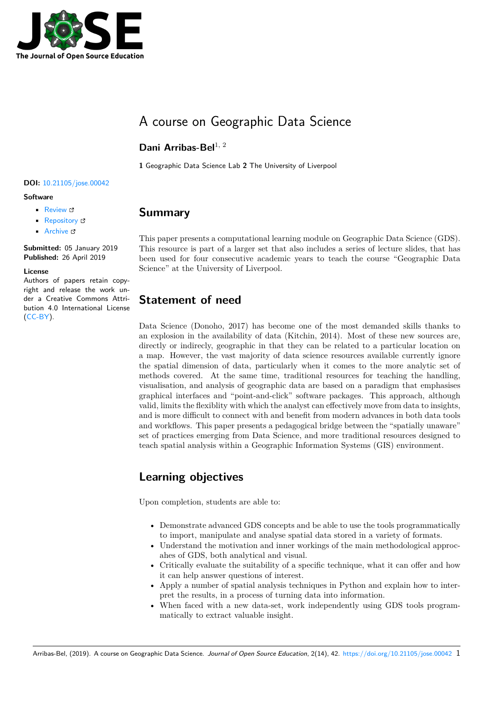

# A course on Geographic Data Science

#### Dani Arribas-Bel<sup>1, 2</sup>

**1** Geographic Data Science Lab **2** The University of Liverpool

#### **DOI:** 10.21105/jose.00042

**Software**

- Review &
- [Repository](https://doi.org/10.21105/jose.00042)  $\circ$
- Archive

**Subm[itted:](https://github.com/openjournals/jose-reviews/issues/42)** 05 January 2019 **Published:** [26 Ap](https://github.com/darribas/gds18)ril 2019

#### **Licen[se](https://doi.org/10.5281/zenodo.2650534)**

Authors of papers retain copyright and release the work under a Creative Commons Attribution 4.0 International License (CC-BY).

#### **Summary**

This paper presents a computational learning module on Geographic Data Science (GDS). This resource is part of a larger set that also includes a series of lecture slides, that has been used for four consecutive academic years to teach the course "Geographic Data Science" at the University of Liverpool.

# **Statement of need**

Data Science (Donoho, 2017) has become one of the most demanded skills thanks to an explosion in the availability of data (Kitchin, 2014). Most of these new sources are, directly or indirecly, geographic in that they can be related to a particular location on a map. However, the vast majority of data science resources available currently ignore the spatial dimension of data, particularly when it comes to the more analytic set of methods covered. At the same time, traditional resources for teaching the handling, visualisation, and analysis of geographic data are based on a paradigm that emphasises graphical interfaces and "point-and-click" software packages. This approach, although valid, limits the flexiblity with which the analyst can effectively move from data to insights, and is more difficult to connect with and benefit from modern advances in both data tools and workflows. This paper presents a pedagogical bridge between the "spatially unaware" set of practices emerging from Data Science, and more traditional resources designed to teach spatial analysis within a Geographic Information Systems (GIS) environment.

### **Learning objectives**

Upon completion, students are able to:

- Demonstrate advanced GDS concepts and be able to use the tools programmatically to import, manipulate and analyse spatial data stored in a variety of formats.
- Understand the motivation and inner workings of the main methodological approcahes of GDS, both analytical and visual.
- Critically evaluate the suitability of a specific technique, what it can offer and how it can help answer questions of interest.
- Apply a number of spatial analysis techniques in Python and explain how to interpret the results, in a process of turning data into information.
- When faced with a new data-set, work independently using GDS tools programmatically to extract valuable insight.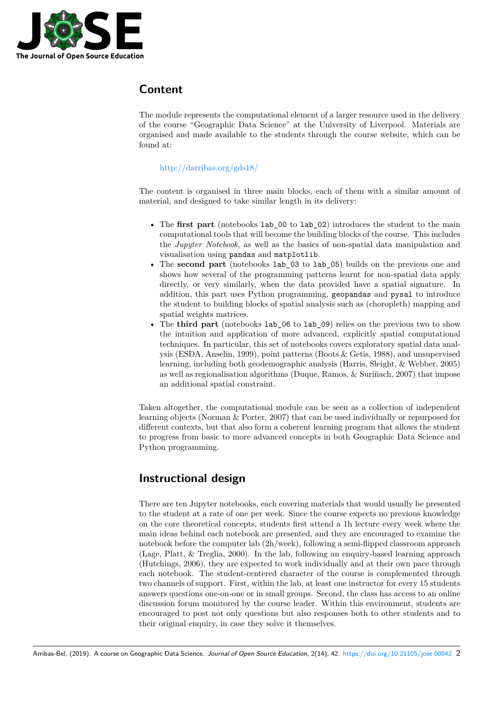

### **Content**

The module represents the computational element of a larger resource used in the delivery of the course "Geographic Data Science" at the University of Liverpool. Materials are organised and made available to the students through the course website, which can be found at:

#### http://darribas.org/gds18/

The content is organised in three main blocks, each of them with a similar amount of mate[rial, and designed to take sim](http://darribas.org/gds18/)ilar length in its delivery:

- The **first part** (notebooks lab\_00 to lab\_02) introduces the student to the main computational tools that will become the building blocks of the course. This includes the *Jupyter Notebook*, as well as the basics of non-spatial data manipulation and visualisation using pandas and matplotlib.
- The **second part** (notebooks lab\_03 to lab\_05) builds on the previous one and shows how several of the programming patterns learnt for non-spatial data apply directly, or very similarly, when the data provided have a spatial signature. In addition, this part uses Python programming, geopandas and pysal to introduce the student to building blocks of spatial analysis such as (choropleth) mapping and spatial weights matrices.
- The **third part** (notebooks lab\_06 to lab\_09) relies on the previous two to show the intuition and application of more advanced, explicitly spatial computational techniques. In particular, this set of notebooks covers exploratory spatial data analysis (ESDA, Anselin, 1999), point patterns (Boots & Getis, 1988), and unsupervised learning, including both geodemographic analysis (Harris, Sleight, & Webber, 2005) as well as regionalisation algorithms (Duque, Ramos, & Suriñach, 2007) that impose an additional spatial constraint.

Taken altogether, the computational module can be seen as a collection of independent learning objects (Norman & Porter, 2007) that can be used individually or repurposed for different contexts, but that also form a coherent learning program that allows the student to progress from basic to more advanced concepts in both Geographic Data Science and Python programming.

### **Instructional design**

There are ten Jupyter notebooks, each covering materials that would usually be presented to the student at a rate of one per week. Since the course expects no previous knowledge on the core theoretical concepts, students first attend a 1h lecture every week where the main ideas behind each notebook are presented, and they are encouraged to examine the notebook before the computer lab (2h/week), following a semi-flipped classroom approach (Lage, Platt, & Treglia, 2000). In the lab, following an enquiry-based learning approach (Hutchings, 2006), they are expected to work individually and at their own pace through each notebook. The student-centered character of the course is complemented through two channels of support. First, within the lab, at least one instructor for every 15 students answers questions one-on-one or in small groups. Second, the class has access to an online discussion forum monitored by the course leader. Within this environment, students are encouraged to post not only questions but also responses both to other students and to their original enquiry, in case they solve it themselves.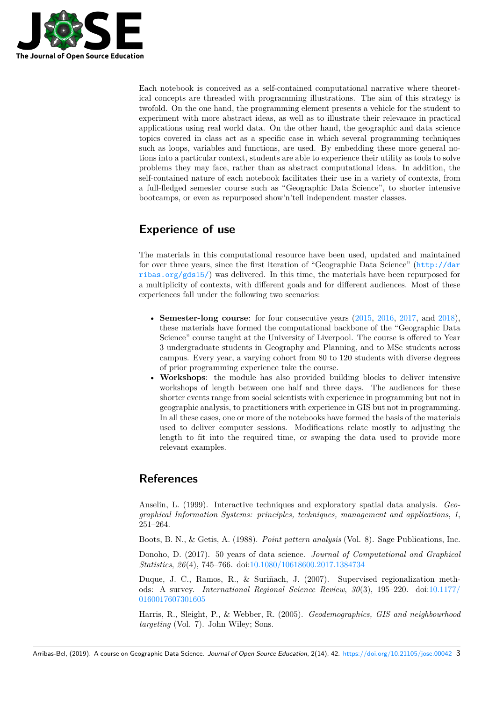

Each notebook is conceived as a self-contained computational narrative where theoretical concepts are threaded with programming illustrations. The aim of this strategy is twofold. On the one hand, the programming element presents a vehicle for the student to experiment with more abstract ideas, as well as to illustrate their relevance in practical applications using real world data. On the other hand, the geographic and data science topics covered in class act as a specific case in which several programming techniques such as loops, variables and functions, are used. By embedding these more general notions into a particular context, students are able to experience their utility as tools to solve problems they may face, rather than as abstract computational ideas. In addition, the self-contained nature of each notebook facilitates their use in a variety of contexts, from a full-fledged semester course such as "Geographic Data Science", to shorter intensive bootcamps, or even as repurposed show'n'tell independent master classes.

# **Experience of use**

The materials in this computational resource have been used, updated and maintained for over three years, since the first iteration of "Geographic Data Science" (http://dar ribas.org/gds15/) was delivered. In this time, the materials have been repurposed for a multiplicity of contexts, with different goals and for different audiences. Most of these experiences fall under the following two scenarios:

- **[Semester-lon](http://darribas.org/gds15/)g course**: for four consecutive years (2015, 2016, 2017, and 2018), these materials have formed the computational backbone of the "Geographic Data Science" course taught at the University of Liverpool. The course is offered to Year 3 undergraduate students in Geography and Planning, and to MSc students across campus. Every year, a varying cohort from 80 to 120 [stude](http://darribas.org/gds15/)[nts wi](http://darribas.org/gds16/)t[h div](http://darribas.org/gds17/)erse [degree](http://darribas.org/gds18/)s of prior programming experience take the course.
- **Workshops**: the module has also provided building blocks to deliver intensive workshops of length between one half and three days. The audiences for these shorter events range from social scientists with experience in programming but not in geographic analysis, to practitioners with experience in GIS but not in programming. In all these cases, one or more of the notebooks have formed the basis of the materials used to deliver computer sessions. Modifications relate mostly to adjusting the length to fit into the required time, or swaping the data used to provide more relevant examples.

### **References**

Anselin, L. (1999). Interactive techniques and exploratory spatial data analysis. *Geographical Information Systems: principles, techniques, management and applications*, *1*, 251–264.

Boots, B. N., & Getis, A. (1988). *Point pattern analysis* (Vol. 8). Sage Publications, Inc.

Donoho, D. (2017). 50 years of data science. *Journal of Computational and Graphical Statistics*, *26*(4), 745–766. doi:10.1080/10618600.2017.1384734

Duque, J. C., Ramos, R., & Suriñach, J. (2007). Supervised regionalization methods: A survey. *International Regional Science Review*, *30*(3), 195–220. doi:10.1177/ 0160017607301605

Harris, R., Sleight, P., & Webber, R. (2005). *[Geodemographic](https://doi.org/10.1080/10618600.2017.1384734)s, GIS and neighbourhood targeting* (Vol. 7). John Wiley; Sons.